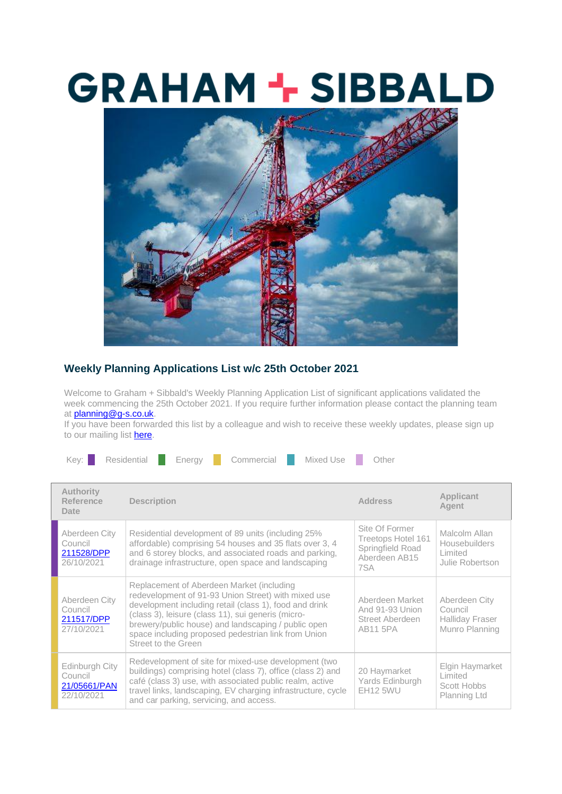## **GRAHAM + SIBBALD**



## **Weekly Planning Applications List w/c 25th October 2021**

Welcome to Graham + Sibbald's Weekly Planning Application List of significant applications validated the week commencing the 25th October 2021. If you require further information please contact the planning team at **planning@g-s.co.uk**.

If you have been forwarded this list by a colleague and wish to receive these weekly updates, please sign up to our mailing list [here.](https://g-s.us9.list-manage.com/track/click?u=d27f0ec01a941ec50add9f681&id=373979a05c&e=7e1d7b13a5)



| <b>Authority</b><br>Reference<br>Date                   | <b>Description</b>                                                                                                                                                                                                                                                                                                                                    | <b>Address</b>                                                                   | Applicant<br>Agent                                                   |
|---------------------------------------------------------|-------------------------------------------------------------------------------------------------------------------------------------------------------------------------------------------------------------------------------------------------------------------------------------------------------------------------------------------------------|----------------------------------------------------------------------------------|----------------------------------------------------------------------|
| Aberdeen City<br>Council<br>211528/DPP<br>26/10/2021    | Residential development of 89 units (including 25%<br>affordable) comprising 54 houses and 35 flats over 3, 4<br>and 6 storey blocks, and associated roads and parking,<br>drainage infrastructure, open space and landscaping                                                                                                                        | Site Of Former<br>Treetops Hotel 161<br>Springfield Road<br>Aberdeen AB15<br>7SA | Malcolm Allan<br>Housebuilders<br>Limited<br>Julie Robertson         |
| Aberdeen City<br>Council<br>211517/DPP<br>27/10/2021    | Replacement of Aberdeen Market (including<br>redevelopment of 91-93 Union Street) with mixed use<br>development including retail (class 1), food and drink<br>(class 3), leisure (class 11), sui generis (micro-<br>brewery/public house) and landscaping / public open<br>space including proposed pedestrian link from Union<br>Street to the Green | Aberdeen Market<br>And 91-93 Union<br>Street Aberdeen<br><b>AB11 5PA</b>         | Aberdeen City<br>Council<br><b>Halliday Fraser</b><br>Munro Planning |
| Edinburgh City<br>Council<br>21/05661/PAN<br>22/10/2021 | Redevelopment of site for mixed-use development (two<br>buildings) comprising hotel (class 7), office (class 2) and<br>café (class 3) use, with associated public realm, active<br>travel links, landscaping, EV charging infrastructure, cycle<br>and car parking, servicing, and access.                                                            | 20 Haymarket<br>Yards Edinburgh<br><b>EH12 5WU</b>                               | Elgin Haymarket<br>Limited<br>Scott Hobbs<br>Planning Ltd            |